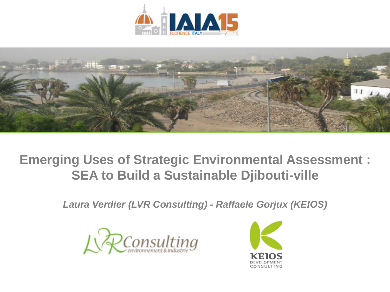



### **Emerging Uses of Strategic Environmental Assessment : SEA to Build a Sustainable Djibouti-ville**

*Laura Verdier (LVR Consulting) - Raffaele Gorjux (KEIOS)*



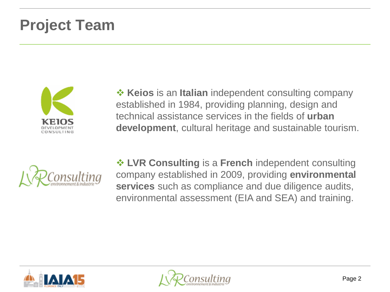## **Project Team**



**EXEIOS** is an **Italian** independent consulting company established in 1984, providing planning, design and technical assistance services in the fields of **urban development**, cultural heritage and sustainable tourism.



 **LVR Consulting** is a **French** independent consulting company established in 2009, providing **environmental services** such as compliance and due diligence audits, environmental assessment (EIA and SEA) and training.



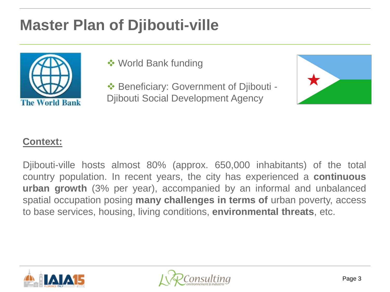# **Master Plan of Djibouti-ville**



**❖ World Bank funding** 

◆ Beneficiary: Government of Djibouti -Djibouti Social Development Agency



### **Context:**

Djibouti-ville hosts almost 80% (approx. 650,000 inhabitants) of the total country population. In recent years, the city has experienced a **continuous urban growth** (3% per year), accompanied by an informal and unbalanced spatial occupation posing **many challenges in terms of** urban poverty, access to base services, housing, living conditions, **environmental threats**, etc.



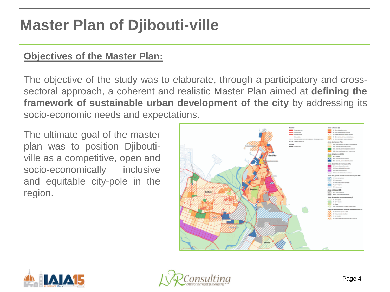## **Master Plan of Djibouti-ville**

#### **Objectives of the Master Plan:**

The objective of the study was to elaborate, through a participatory and crosssectoral approach, a coherent and realistic Master Plan aimed at **defining the framework of sustainable urban development of the city** by addressing its socio-economic needs and expectations.

The ultimate goal of the master plan was to position Djiboutiville as a competitive, open and socio-economically inclusive and equitable city-pole in the region.





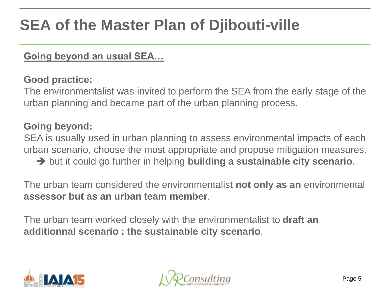## **SEA of the Master Plan of Djibouti-ville**

### **Going beyond an usual SEA…**

### **Good practice:**

The environmentalist was invited to perform the SEA from the early stage of the urban planning and became part of the urban planning process.

### **Going beyond:**

SEA is usually used in urban planning to assess environmental impacts of each urban scenario, choose the most appropriate and propose mitigation measures.

→ but it could go further in helping **building a sustainable city scenario**.

The urban team considered the environmentalist **not only as an** environmental **assessor but as an urban team member**.

The urban team worked closely with the environmentalist to **draft an additionnal scenario : the sustainable city scenario**.



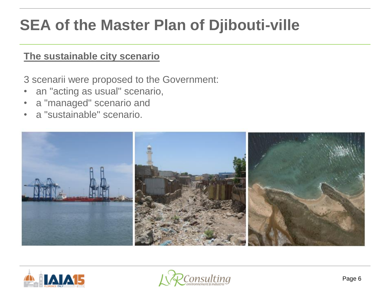## **SEA of the Master Plan of Djibouti-ville**

### **The sustainable city scenario**

3 scenarii were proposed to the Government:

- an "acting as usual" scenario,
- a "managed" scenario and
- a "sustainable" scenario.





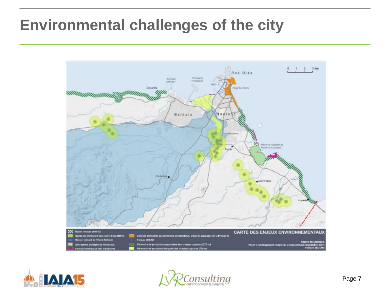## **Environmental challenges of the city**





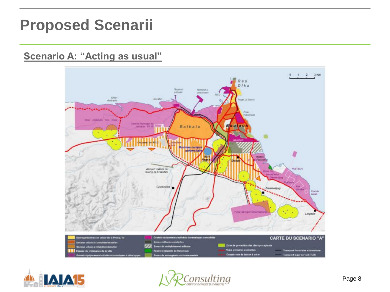### **Proposed Scenarii**

#### **Scenario A: "Acting as usual"**





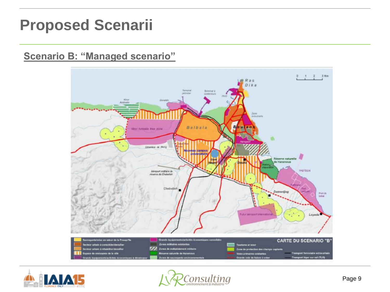### **Proposed Scenarii**

### **Scenario B: "Managed scenario"**





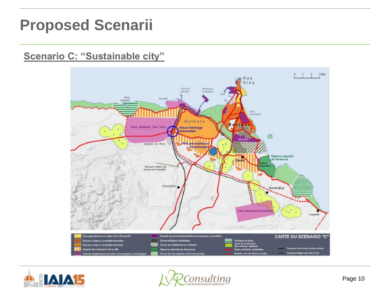### **Proposed Scenarii**

#### **Scenario C: "Sustainable city"**





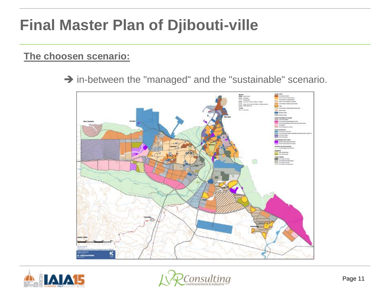## **Final Master Plan of Djibouti-ville**

### **The choosen scenario:**

 $\rightarrow$  in-between the "managed" and the "sustainable" scenario.